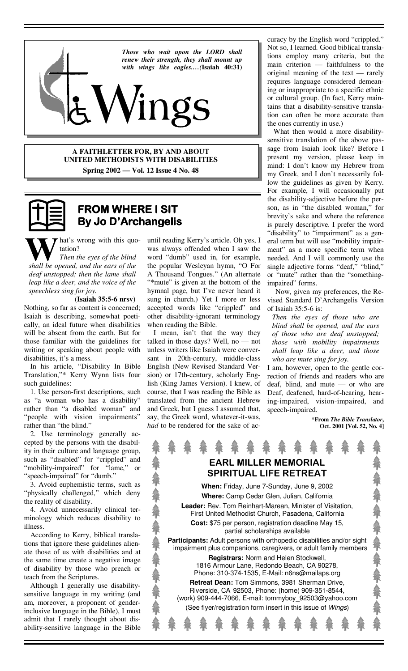

**A FAITHLETTER FOR, BY AND ABOUT UNITED METHODISTS WITH DISABILITIES Spring 2002 — Vol. 12 Issue 4 No. 48**



## **FROM WHERE I SIT FROM WHERE I SITSIT By Jo D'Archangelis**

hat's wrong with this quotation?

*Then the eyes of the blind shall be opened, and the ears of the deaf unstopped; then the lame shall leap like a deer, and the voice of the speechless sing for joy.*

 (**Isaiah 35:5-6 nrsv)** Nothing, so far as content is concerned; Isaiah is describing, somewhat poetically, an ideal future when disabilities will be absent from the earth. But for those familiar with the guidelines for writing or speaking about people with disabilities, it's a mess.

 In his article, "Disability In Bible Translation,"\* Kerry Wynn lists four such guidelines:

 1. Use person-first descriptions, such as "a woman who has a disability" rather than "a disabled woman" and "people with vision impairments" rather than "the blind."

 2. Use terminology generally accepted by the persons with the disability in their culture and language group, such as "disabled" for "crippled" and "mobility-impaired" for "lame," or "speech-impaired" for "dumb."

 3. Avoid euphemistic terms, such as "physically challenged," which deny the reality of disability.

 4. Avoid unnecessarily clinical terminology which reduces disability to illness.

 According to Kerry, biblical translations that ignore these guidelines alienate those of us with disabilities and at the same time create a negative image of disability by those who preach or teach from the Scriptures.

 Although I generally use disabilitysensitive language in my writing (and am, moreover, a proponent of genderinclusive language in the Bible), I must admit that I rarely thought about disability-sensitive language in the Bible

until reading Kerry's article. Oh yes, I was always offended when I saw the word "dumb" used in, for example, the popular Wesleyan hymn, "O For A Thousand Tongues." (An alternate "\*mute" is given at the bottom of the hymnal page, but I've never heard it sung in church.) Yet I more or less accepted words like "crippled" and other disability-ignorant terminology when reading the Bible.

 I mean, isn't that the way they talked in those days? Well, no — not unless writers like Isaiah were conversant in 20th-century, middle-class English (New Revised Standard Version) or 17th-century, scholarly English (King James Version). I knew, of course, that I was reading the Bible as translated from the ancient Hebrew and Greek, but I guess I assumed that, say, the Greek word, whatever-it-was, *had* to be rendered for the sake of accuracy by the English word "crippled." Not so, I learned. Good biblical translations employ many criteria, but the main criterion — faithfulness to the original meaning of the text — rarely requires language considered demeaning or inappropriate to a specific ethnic or cultural group. (In fact, Kerry maintains that a disability-sensitive translation can often be more accurate than the ones currently in use.)

 What then would a more disabilitysensitive translation of the above passage from Isaiah look like? Before I present my version, please keep in mind: I don't know my Hebrew from my Greek, and I don't necessarily follow the guidelines as given by Kerry. For example, I will occasionally put the disability-adjective before the person, as in "the disabled woman," for brevity's sake and where the reference is purely descriptive. I prefer the word "disability" to "impairment" as a general term but will use "mobility impairment" as a more specific term when needed. And I will commonly use the single adjective forms "deaf," "blind," or "mute" rather than the "somethingimpaired" forms.

 Now, given my preferences, the Revised Standard D'Archangelis Version of Isaiah 35:5-6 is:

*Then the eyes of those who are blind shall be opened, and the ears of those who are deaf unstopped; those with mobility impairments shall leap like a deer, and those who are mute sing for joy.* 

I am, however, open to the gentle correction of friends and readers who are deaf, blind, and mute — or who are Deaf, deafened, hard-of-hearing, hearing-impaired, vision-impaired, and speech-impaired.

> **\*From** *The Bible Translator***, Oct. 2001 [Vol. 52, No. 4]**

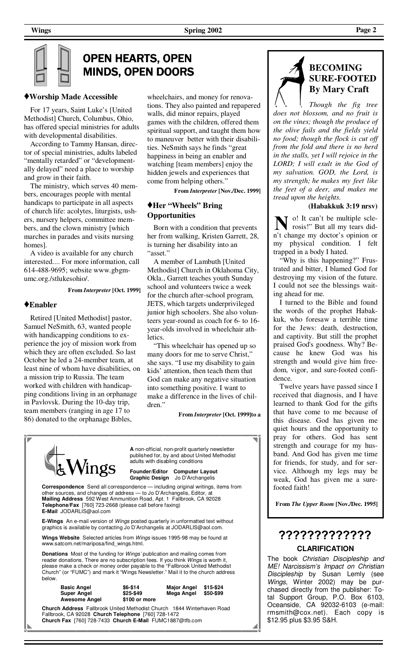# OPEN HEARTS, OPEN **MINDS, OPEN DOORS**

## **♦Worship Made Accessible**

 For 17 years, Saint Luke's [United Methodist] Church, Columbus, Ohio, has offered special ministries for adults with developmental disabilities.

 According to Tammy Hansan, director of special ministries, adults labeled "mentally retarded" or "developmentally delayed" need a place to worship and grow in their faith.

 The ministry, which serves 40 members, encourages people with mental handicaps to participate in all aspects of church life: acolytes, liturgists, ushers, nursery helpers, committee members, and the clown ministry [which marches in parades and visits nursing homes].

 A video is available for any church interested.... For more information, call 614-488-9695; website www.gbgmumc.org./stlukesohio/.

**From** *Interpreter* **[Oct. 1999]**

#### **♦Enabler**

 Retired [United Methodist] pastor, Samuel NeSmith, 63, wanted people with handicapping conditions to experience the joy of mission work from which they are often excluded. So last October he led a 24-member team, at least nine of whom have disabilities, on a mission trip to Russia. The team worked with children with handicapping conditions living in an orphanage in Pavlovsk. During the 10-day trip, team members (ranging in age 17 to 86) donated to the orphanage Bibles,

wheelchairs, and money for renovations. They also painted and repapered walls, did minor repairs, played games with the children, offered them spiritual support, and taught them how to maneuver better with their disabilities. NeSmith says he finds "great happiness in being an enabler and watching [team members] enjoy the hidden jewels and experiences that come from helping others."

**From** *Interpreter* **[Nov./Dec. 1999]** 

## **♦Her "Wheels" Bring Opportunities**

 Born with a condition that prevents her from walking, Kristen Garrett, 28, is turning her disability into an "asset."

 A member of Lambuth [United Methodist] Church in Oklahoma City, Okla., Garrett teaches youth Sunday school and volunteers twice a week for the church after-school program, JETS, which targets underprivileged junior high schoolers. She also volunteers year-round as coach for 6- to 16 year-olds involved in wheelchair athletics.

 "This wheelchair has opened up so many doors for me to serve Christ," she says. "I use my disability to gain kids' attention, then teach them that God can make any negative situation into something positive. I want to make a difference in the lives of children."

**From** *Interpreter* **[Oct. 1999]to a**

| $\frac{1}{4}$ Wings                                                                                                                                                                                                                                                                                                                                             | A non-official, non-profit quarterly newsletter<br>published for, by and about United Methodist<br>adults with disabling conditions |                                                                   |  |  |
|-----------------------------------------------------------------------------------------------------------------------------------------------------------------------------------------------------------------------------------------------------------------------------------------------------------------------------------------------------------------|-------------------------------------------------------------------------------------------------------------------------------------|-------------------------------------------------------------------|--|--|
|                                                                                                                                                                                                                                                                                                                                                                 |                                                                                                                                     | Founder/Editor Computer Layout<br>Graphic Design Jo D'Archangelis |  |  |
| <b>Correspondence</b> Send all correspondence — including original writings, items from<br>other sources, and changes of address - to Jo D'Archangelis, Editor, at<br>Mailing Address 592 West Ammunition Road, Apt. 1 Fallbrook, CA 92028<br><b>Telephone/Fax</b> [760] 723-2668 (please call before faxing)<br>E-Mail JODARLIS@aol.com                        |                                                                                                                                     |                                                                   |  |  |
| <b>E-Wings</b> An e-mail version of <i>Wings</i> posted quarterly in unformatted text without<br>graphics is available by contacting Jo D'Archangelis at JODARLIS@aol.com.                                                                                                                                                                                      |                                                                                                                                     |                                                                   |  |  |
| <b>Wings Website</b> Selected articles from <i>Wings</i> issues 1995-98 may be found at<br>www.satcom.net/mariposa/find wings.html.                                                                                                                                                                                                                             |                                                                                                                                     |                                                                   |  |  |
| <b>Donations</b> Most of the funding for <i>Wings'</i> publication and mailing comes from<br>reader donations. There are no subscription fees. If you think Wings is worth it,<br>please make a check or money order payable to the "Fallbrook United Methodist"<br>Church" (or "FUMC") and mark it "Wings Newsletter." Mail it to the church address<br>below. |                                                                                                                                     |                                                                   |  |  |

| <b>Basic Angel</b>   | $$6-$14$      | Major |
|----------------------|---------------|-------|
| <b>Super Angel</b>   | $$25-$49$     | Mega  |
| <b>Awesome Angel</b> | \$100 or more |       |

\$6-\$14<br>\$25-\$49  **Super Angel \$25-\$49 Mega Angel \$50-\$99** 



**Church Address** Fallbrook United Methodist Church 1844 Winterhaven Road Fallbrook, CA 92028 **Church Telephone** [760] 728-1472 **Church Fax** [760] 728-7433 **Church E-Mail** FUMC1887@tfb.com



*Though the fig tree does not blossom, and no fruit is on the vines; though the produce of the olive fails and the fields yield no food; though the flock is cut off from the fold and there is no herd in the stalls, yet I will rejoice in the LORD; I will exult in the God of my salvation. GOD, the Lord, is my strength; he makes my feet like the feet of a deer, and makes me tread upon the heights.* 

#### **(Habakkuk 3:19 nrsv)**

o! It can't be multiple sclerosis!" But all my tears didn't change my doctor's opinion or my physical condition. I felt trapped in a body I hated.

'Why is this happening?" Frustrated and bitter, I blamed God for destroying my vision of the future. I could not see the blessings waiting ahead for me.

 I turned to the Bible and found the words of the prophet Habakkuk, who foresaw a terrible time for the Jews: death, destruction, and captivity. But still the prophet praised God's goodness. Why? Because he knew God was his strength and would give him freedom, vigor, and sure-footed confidence.

 Twelve years have passed since I received that diagnosis, and I have learned to thank God for the gifts that have come to me because of this disease. God has given me quiet hours and the opportunity to pray for others. God has sent strength and courage for my husband. And God has given me time for friends, for study, and for service. Although my legs may be weak, God has given me a surefooted faith!

**From** *The Upper Room* **[Nov./Dec. 1995]** 

# ????????????? **CLARIFICATION**

The book Christian Discipleship and ME! Narcissism's Impact on Christian Discipleship by Susan Lemly (see Wings, Winter 2002) may be purchased directly from the publisher: Total Support Group, P.O. Box 6103, Oceanside, CA 92032-6103 (e-mail: rmsmith@cox.net). Each copy is \$12.95 plus \$3.95 S&H.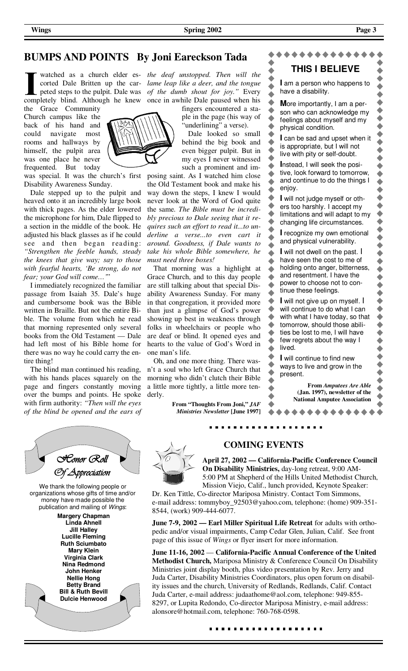## **BUMPS AND POINTS By Joni Eareckson Tada**

watched as a church elder es-*the deaf unstopped. Then will the*  completely blind. Although he knew once in awhile Dale paused when his

the Grace Community Church campus like the back of his hand and could navigate most rooms and hallways by himself, the pulpit area was one place he never frequented. But today

was special. It was the church's first Disability Awareness Sunday.

 Dale stepped up to the pulpit and heaved onto it an incredibly large book with thick pages. As the elder lowered the microphone for him, Dale flipped to a section in the middle of the book. He adjusted his black glasses as if he could see and then began reading: *"Strengthen the feeble hands, steady the knees that give way; say to those with fearful hearts, 'Be strong, do not fear; your God will come…'*"

 I immediately recognized the familiar passage from Isaiah 35. Dale's huge and cumbersome book was the Bible written in Braille. But not the entire Bible. The volume from which he read that morning represented only several books from the Old Testament — Dale had left most of his Bible home for there was no way he could carry the entire thing!

 The blind man continued his reading, with his hands places squarely on the page and fingers constantly moving over the bumps and points. He spoke with firm authority: *"Then will the eyes of the blind be opened and the ears of* 



corted Dale Britten up the car-*lame leap like a deer, and the tongue*  peted steps to the pulpit. Dale was *of the dumb shout for joy."* Every

fingers encountered a staple in the page (his way of 'underlining" a verse).

 Dale looked so small behind the big book and even bigger pulpit. But in my eyes I never witnessed such a prominent and im-

posing saint. As I watched him close the Old Testament book and make his way down the steps, I knew I would never look at the Word of God quite the same. *The Bible must be incredibly precious to Dale seeing that it requires such an effort to read it...to underline a verse...to even cart it around. Goodness, if Dale wants to take his whole Bible somewhere, he must need three boxes!*

 That morning was a highlight at Grace Church, and to this day people are still talking about that special Disability Awareness Sunday. For many in that congregation, it provided more than just a glimpse of God's power showing up best in weakness through folks in wheelchairs or people who are deaf or blind. It opened eyes and hearts to the value of God's Word in one man's life.

 Oh, and one more thing. There wasn't a soul who left Grace Church that morning who didn't clutch their Bible a little more tightly, a little more tenderly.

> **From "Thoughts From Joni,"** *JAF Ministries Newsletter* **[June 1997]**

#### **THIS I BELIEVE I** am a person who happens to ▲ have a disability.  $\blacktriangle$  $\bullet$ ◆  $\blacklozenge$ **M**ore importantly, I am a per- $\blacklozenge$ ۰ son who can acknowledge my  $\blacklozenge$  $\blacklozenge$ feelings about myself and my  $\blacklozenge$  $\blacktriangle$ physical condition.  $\blacklozenge$  $\bullet$ **I** can be sad and upset when it  $\blacktriangle$  $\hat{\phantom{a}}$ is appropriate, but I will not  $\bullet$ ۰ live with pity or self-doubt.  $\blacklozenge$  $\bullet$ **I**nstead, I will seek the posi- $\blacklozenge$ tive, look forward to tomorrow,  $\ddot{\bullet}$ ▲ and continue to do the things I  $\hat{\phantom{a}}$  $\blacklozenge$ enjoy.  $\blacklozenge$ ◆ **I** will not judge myself or oth- $\blacklozenge$ ers too harshly. I accept my  $\blacklozenge$ limitations and will adapt to my  $\blacklozenge$ changing life circumstances.  $\blacklozenge$ **I** recognize my own emotional  $\blacklozenge$ and physical vulnerability.  $\blacklozenge$ **I** will not dwell on the past. I  $\blacklozenge$ have seen the cost to me of  $\blacklozenge$ holding onto anger, bitterness,  $\ddot{\bullet}$  $\blacklozenge$ and resentment. I have the  $\blacklozenge$  $\bullet$ power to choose not to con- $\blacklozenge$  $\blacklozenge$ tinue these feelings.  $\blacklozenge$  $\blacklozenge$  $\ddot{\bullet}$  $\triangle$ **I** will not give up on myself. I  $\blacklozenge$  $\bullet$ will continue to do what I can  $\blacklozenge$  $\bullet$ with what I have today, so that  $\bullet$ tomorrow, should those abili- $\blacklozenge$ ties be lost to me, I will have  $\blacklozenge$  $\blacktriangle$ few regrets about the way I  $\ddot{\bullet}$  $\bullet$ lived.  $\blacklozenge$  $\blacklozenge$ **I** will continue to find new  $\bullet$ ways to live and grow in the  $\blacklozenge$ present.  $\bullet$ **From** *Amputees Are Able*   $\bullet$ **(Jan. 1997), newsletter of the National Amputee Association**



## **COMING EVENTS**

**April 27, 2002 — California-Pacific Conference Council On Disability Ministries,** day-long retreat, 9:00 AM-5:00 PM at Shepherd of the Hills United Methodist Church, Mission Viejo, Calif., lunch provided, Keynote Speaker:

Dr. Ken Tittle, Co-director Mariposa Ministry. Contact Tom Simmons, e-mail address: tommyboy\_92503@yahoo.com, telephone: (home) 909-351- 8544, (work) 909-444-6077.

**June 7-9, 2002 — Earl Miller Spiritual Life Retreat** for adults with orthopedic and/or visual impairments, Camp Cedar Glen, Julian, Calif. See front page of this issue of *Wings* or flyer insert for more information.

**June 11-16, 2002** — **California-Pacific Annual Conference of the United Methodist Church,** Mariposa Ministry & Conference Council On Disability Ministries joint display booth, plus video presentation by Rev. Jerry and Juda Carter, Disability Ministries Coordinators, plus open forum on disability issues and the church, University of Redlands, Redlands, Calif. Contact Juda Carter, e-mail address: judaathome@aol.com, telephone: 949-855- 8297, or Lupita Redondo, Co-director Mariposa Ministry, e-mail address: alonsore@hotmail.com, telephone: 760-768-0598.

\*\*\*\*\*\*\*\*\*\*\*